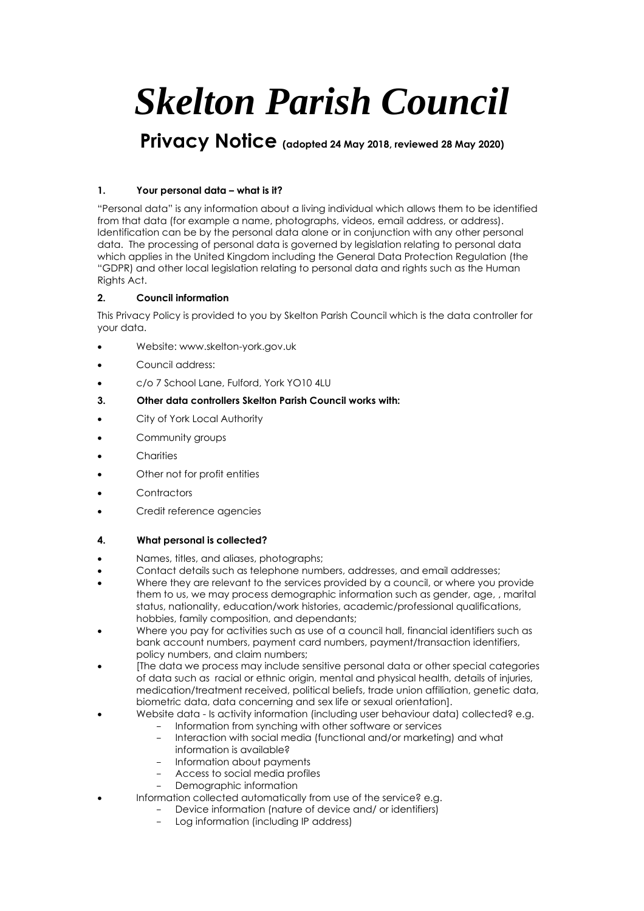# *Skelton Parish Council*

# **Privacy Notice (adopted 24 May 2018, reviewed 28 May 2020)**

# **1. Your personal data – what is it?**

"Personal data" is any information about a living individual which allows them to be identified from that data (for example a name, photographs, videos, email address, or address). Identification can be by the personal data alone or in conjunction with any other personal data. The processing of personal data is governed by legislation relating to personal data which applies in the United Kingdom including the General Data Protection Regulation (the "GDPR) and other local legislation relating to personal data and rights such as the Human Rights Act.

# **2. Council information**

This Privacy Policy is provided to you by Skelton Parish Council which is the data controller for your data.

- Website: www.skelton-york.gov.uk
- Council address:
- c/o 7 School Lane, Fulford, York YO10 4LU
- **3. Other data controllers Skelton Parish Council works with:**
- City of York Local Authority
- Community groups
- **Charities**
- Other not for profit entities
- **Contractors**
- Credit reference agencies

#### **4. What personal is collected?**

- Names, titles, and aliases, photographs;
- Contact details such as telephone numbers, addresses, and email addresses;
- Where they are relevant to the services provided by a council, or where you provide them to us, we may process demographic information such as gender, age, , marital status, nationality, education/work histories, academic/professional qualifications, hobbies, family composition, and dependants;
- Where you pay for activities such as use of a council hall, financial identifiers such as bank account numbers, payment card numbers, payment/transaction identifiers, policy numbers, and claim numbers;
- [The data we process may include sensitive personal data or other special categories of data such as racial or ethnic origin, mental and physical health, details of injuries, medication/treatment received, political beliefs, trade union affiliation, genetic data, biometric data, data concerning and sex life or sexual orientation].
- Website data Is activity information (including user behaviour data) collected? e.g.
	- Information from synching with other software or services
	- Interaction with social media (functional and/or marketing) and what information is available?
	- Information about payments
	- Access to social media profiles
	- Demographic information
	- Information collected automatically from use of the service? e.g.
		- Device information (nature of device and/ or identifiers)
			- Log information (including IP address)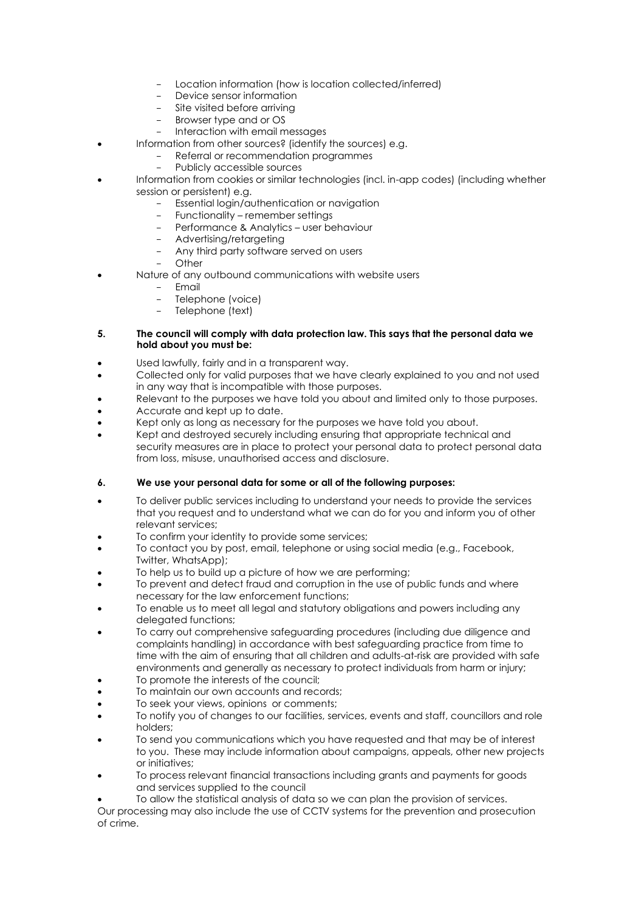- Location information (how is location collected/inferred)
- Device sensor information
- Site visited before arriving
- Browser type and or OS
- Interaction with email messages
- Information from other sources? (identify the sources) e.g.
	- Referral or recommendation programmes
	- Publicly accessible sources
- Information from cookies or similar technologies (incl. in-app codes) (including whether session or persistent) e.g.
	- Essential login/authentication or navigation
	- Functionality remember settings
	- Performance & Analytics user behaviour
	- Advertising/retargeting
	- Any third party software served on users
	- Other
- Nature of any outbound communications with website users
	- Email
	- Telephone (voice)
	- Telephone (text)

#### **5. The council will comply with data protection law. This says that the personal data we hold about you must be:**

- Used lawfully, fairly and in a transparent way.
- Collected only for valid purposes that we have clearly explained to you and not used in any way that is incompatible with those purposes.
- Relevant to the purposes we have told you about and limited only to those purposes.
- Accurate and kept up to date.
- Kept only as long as necessary for the purposes we have told you about.
- Kept and destroyed securely including ensuring that appropriate technical and security measures are in place to protect your personal data to protect personal data from loss, misuse, unauthorised access and disclosure.

#### **6. We use your personal data for some or all of the following purposes:**

- To deliver public services including to understand your needs to provide the services that you request and to understand what we can do for you and inform you of other relevant services;
- To confirm your identity to provide some services;
- To contact you by post, email, telephone or using social media (e.g., Facebook, Twitter, WhatsApp);
- To help us to build up a picture of how we are performing;
- To prevent and detect fraud and corruption in the use of public funds and where necessary for the law enforcement functions;
- To enable us to meet all legal and statutory obligations and powers including any delegated functions:
- To carry out comprehensive safeguarding procedures (including due diligence and complaints handling) in accordance with best safeguarding practice from time to time with the aim of ensuring that all children and adults-at-risk are provided with safe environments and generally as necessary to protect individuals from harm or injury;
- To promote the interests of the council;
- To maintain our own accounts and records;
- To seek your views, opinions or comments;
- To notify you of changes to our facilities, services, events and staff, councillors and role holders;
- To send you communications which you have requested and that may be of interest to you. These may include information about campaigns, appeals, other new projects or initiatives;
- To process relevant financial transactions including grants and payments for goods and services supplied to the council
	- To allow the statistical analysis of data so we can plan the provision of services.

Our processing may also include the use of CCTV systems for the prevention and prosecution of crime.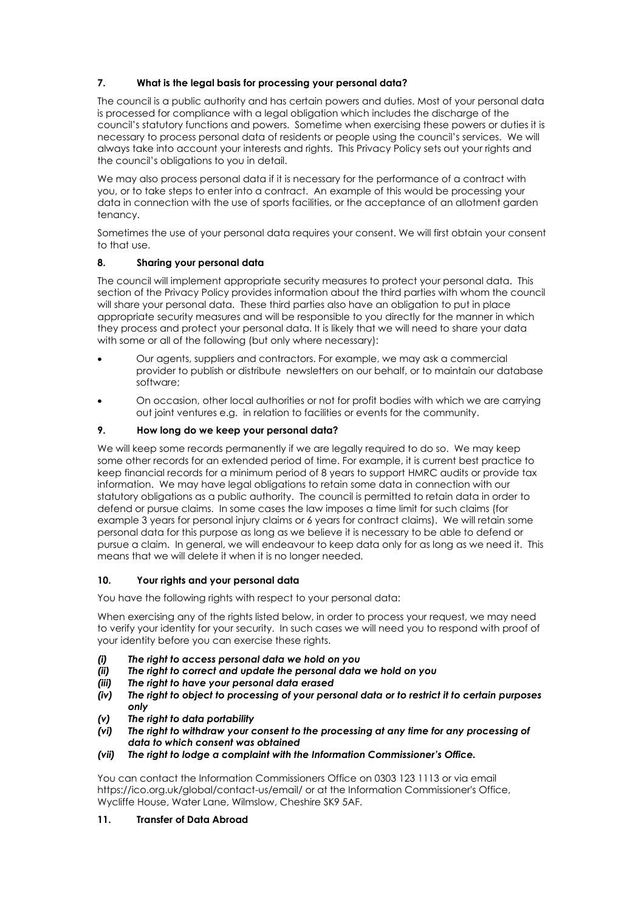# **7. What is the legal basis for processing your personal data?**

The council is a public authority and has certain powers and duties. Most of your personal data is processed for compliance with a legal obligation which includes the discharge of the council's statutory functions and powers. Sometime when exercising these powers or duties it is necessary to process personal data of residents or people using the council's services. We will always take into account your interests and rights. This Privacy Policy sets out your rights and the council's obligations to you in detail.

We may also process personal data if it is necessary for the performance of a contract with you, or to take steps to enter into a contract. An example of this would be processing your data in connection with the use of sports facilities, or the acceptance of an allotment garden tenancy.

Sometimes the use of your personal data requires your consent. We will first obtain your consent to that use.

#### **8. Sharing your personal data**

The council will implement appropriate security measures to protect your personal data. This section of the Privacy Policy provides information about the third parties with whom the council will share your personal data. These third parties also have an obligation to put in place appropriate security measures and will be responsible to you directly for the manner in which they process and protect your personal data. It is likely that we will need to share your data with some or all of the following (but only where necessary):

- Our agents, suppliers and contractors. For example, we may ask a commercial provider to publish or distribute newsletters on our behalf, or to maintain our database software;
- On occasion, other local authorities or not for profit bodies with which we are carrying out joint ventures e.g. in relation to facilities or events for the community.

#### **9. How long do we keep your personal data?**

We will keep some records permanently if we are legally required to do so. We may keep some other records for an extended period of time. For example, it is current best practice to keep financial records for a minimum period of 8 years to support HMRC audits or provide tax information. We may have legal obligations to retain some data in connection with our statutory obligations as a public authority. The council is permitted to retain data in order to defend or pursue claims. In some cases the law imposes a time limit for such claims (for example 3 years for personal injury claims or 6 years for contract claims). We will retain some personal data for this purpose as long as we believe it is necessary to be able to defend or pursue a claim. In general, we will endeavour to keep data only for as long as we need it. This means that we will delete it when it is no longer needed.

#### **10. Your rights and your personal data**

You have the following rights with respect to your personal data:

When exercising any of the rights listed below, in order to process your request, we may need to verify your identity for your security. In such cases we will need you to respond with proof of your identity before you can exercise these rights.

- *(i) The right to access personal data we hold on you*
- *(ii) The right to correct and update the personal data we hold on you*
- *(iii) The right to have your personal data erased*
- *(iv) The right to object to processing of your personal data or to restrict it to certain purposes only*
- *(v) The right to data portability*
- *(vi) The right to withdraw your consent to the processing at any time for any processing of data to which consent was obtained*
- *(vii) The right to lodge a complaint with the Information Commissioner's Office.*

You can contact the Information Commissioners Office on 0303 123 1113 or via email https://ico.org.uk/global/contact-us/email/ or at the Information Commissioner's Office, Wycliffe House, Water Lane, Wilmslow, Cheshire SK9 5AF.

#### **11. Transfer of Data Abroad**